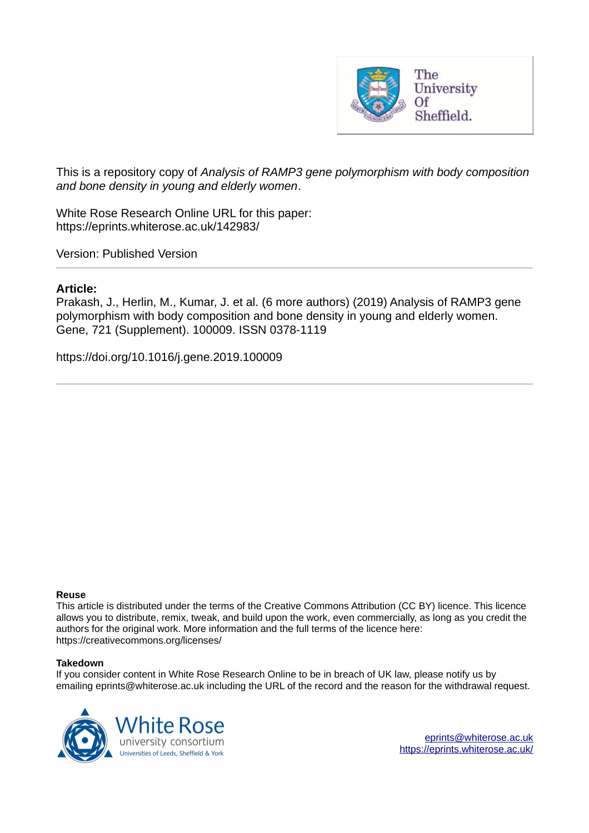

This is a repository copy of *Analysis of RAMP3 gene polymorphism with body composition and bone density in young and elderly women*.

White Rose Research Online URL for this paper: https://eprints.whiterose.ac.uk/142983/

Version: Published Version

# **Article:**

Prakash, J., Herlin, M., Kumar, J. et al. (6 more authors) (2019) Analysis of RAMP3 gene polymorphism with body composition and bone density in young and elderly women. Gene, 721 (Supplement). 100009. ISSN 0378-1119

https://doi.org/10.1016/j.gene.2019.100009

# **Reuse**

This article is distributed under the terms of the Creative Commons Attribution (CC BY) licence. This licence allows you to distribute, remix, tweak, and build upon the work, even commercially, as long as you credit the authors for the original work. More information and the full terms of the licence here: https://creativecommons.org/licenses/

# **Takedown**

If you consider content in White Rose Research Online to be in breach of UK law, please notify us by emailing eprints@whiterose.ac.uk including the URL of the record and the reason for the withdrawal request.

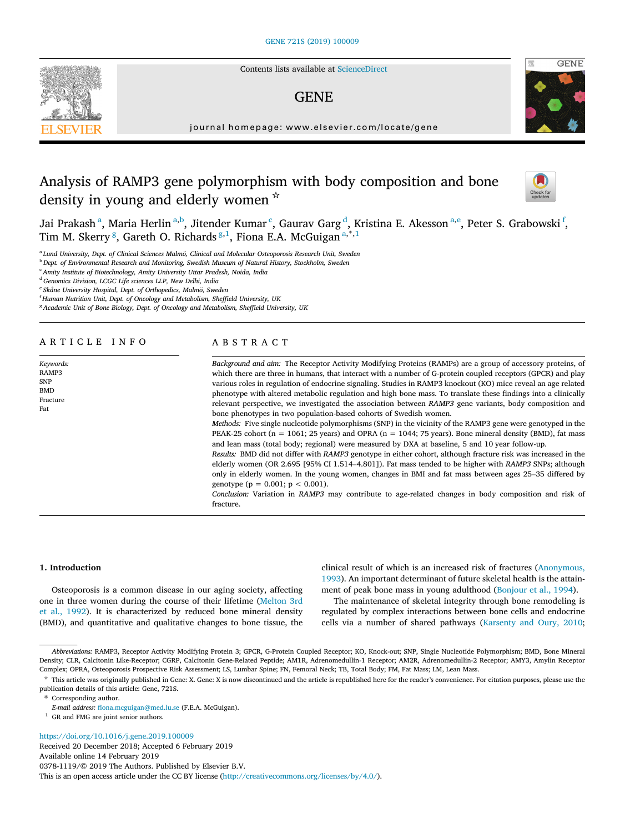Contents lists available at ScienceDirect

# GENE



journal homepage: www.elsevier.com/locate/gene

# Analysis of RAMP3 gene polymorphism with body composition and bone density in young and elderly women  $\star$



Jai Prakash<sup>a</sup>, Maria Herlin<sup>a,b</sup>, Jitender Kumar <sup>c</sup>, Gaurav Garg <sup>d</sup>, Kristina E. Akesson<sup>a,e</sup>, Peter S. Grabowski <sup>f</sup>, Tim M. Skerry<sup>8</sup>, Gareth O. Richards<sup>8,1</sup>, Fiona E.A. McGuigan<sup>a,\*,1</sup>

<sup>a</sup> Lund University, Dept. of Clinical Sciences Malmö, Clinical and Molecular Osteoporosis Research Unit, Sweden

<sup>b</sup> Dept. of Environmental Research and Monitoring, Swedish Museum of Natural History, Stockholm, Sweden

<sup>c</sup> Amity Institute of Biotechnology, Amity University Uttar Pradesh, Noida, India

<sup>d</sup> Genomics Division, LCGC Life sciences LLP, New Delhi, India

<sup>e</sup> Skåne University Hospital, Dept. of Orthopedics, Malmö, Sweden

<sup>f</sup> Human Nutrition Unit, Dept. of Oncology and Metabolism, Sheffield University, UK

<sup>8</sup> Academic Unit of Bone Biology, Dept. of Oncology and Metabolism, Sheffield University, UK

## ARTICLE INFO

Keywords: RAMP3 SNP BMD Fracture Fat

# ABSTRACT

Background and aim: The Receptor Activity Modifying Proteins (RAMPs) are a group of accessory proteins, of which there are three in humans, that interact with a number of G-protein coupled receptors (GPCR) and play various roles in regulation of endocrine signaling. Studies in RAMP3 knockout (KO) mice reveal an age related phenotype with altered metabolic regulation and high bone mass. To translate these findings into a clinically relevant perspective, we investigated the association between RAMP3 gene variants, body composition and bone phenotypes in two population‐based cohorts of Swedish women.

Methods: Five single nucleotide polymorphisms (SNP) in the vicinity of the RAMP3 gene were genotyped in the PEAK-25 cohort ( $n = 1061$ ; 25 years) and OPRA ( $n = 1044$ ; 75 years). Bone mineral density (BMD), fat mass and lean mass (total body; regional) were measured by DXA at baseline, 5 and 10 year follow‐up.

Results: BMD did not differ with RAMP3 genotype in either cohort, although fracture risk was increased in the elderly women (OR 2.695 [95% CI 1.514–4.801]). Fat mass tended to be higher with RAMP3 SNPs; although only in elderly women. In the young women, changes in BMI and fat mass between ages 25–35 differed by genotype ( $p = 0.001$ ;  $p < 0.001$ ).

Conclusion: Variation in RAMP3 may contribute to age-related changes in body composition and risk of fracture

#### 1. Introduction

Osteoporosis is a common disease in our aging society, affecting one in three women during the course of their lifetime (Melton 3rd et al., 1992). It is characterized by reduced bone mineral density (BMD), and quantitative and qualitative changes to bone tissue, the

clinical result of which is an increased risk of fractures (Anonymous, 1993). An important determinant of future skeletal health is the attainment of peak bone mass in young adulthood (Bonjour et al., 1994).

The maintenance of skeletal integrity through bone remodeling is regulated by complex interactions between bone cells and endocrine cells via a number of shared pathways (Karsenty and Oury, 2010;

\* This article was originally published in Gene: X. Gene: X is now discontinued and the article is republished here for the reader's convenience. For citation purposes, please use the publication details of this article: Gene, 721S.

https://doi.org/10.1016/j.gene.2019.100009

Received 20 December 2018; Accepted 6 February 2019 Available online 14 February 2019 0378-1119/© 2019 The Authors. Published by Elsevier B.V. This is an open access article under the CC BY license (http://creativecommons.org/licenses/by/4.0/).

Abbreviations: RAMP3, Receptor Activity Modifying Protein 3; GPCR, G‐Protein Coupled Receptor; KO, Knock‐out; SNP, Single Nucleotide Polymorphism; BMD, Bone Mineral Density; CLR, Calcitonin Like‐Receptor; CGRP, Calcitonin Gene‐Related Peptide; AM1R, Adrenomedullin‐1 Receptor; AM2R, Adrenomedullin‐2 Receptor; AMY3, Amylin Receptor Complex; OPRA, Osteoporosis Prospective Risk Assessment; LS, Lumbar Spine; FN, Femoral Neck; TB, Total Body; FM, Fat Mass; LM, Lean Mass.

<sup>⇑</sup> Corresponding author.

E-mail address: fiona.mcguigan@med.lu.se (F.E.A. McGuigan).

 $^{\rm 1}$  GR and FMG are joint senior authors.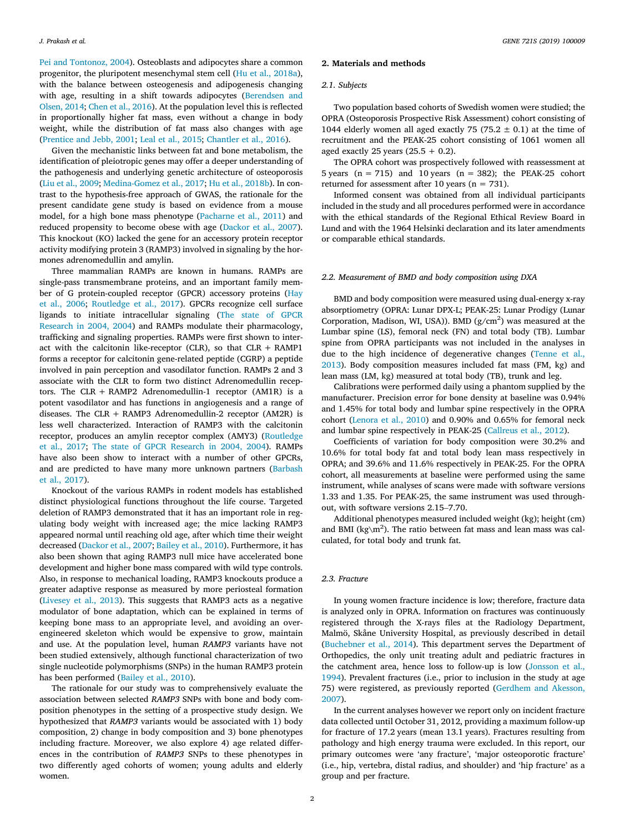Pei and Tontonoz, 2004). Osteoblasts and adipocytes share a common progenitor, the pluripotent mesenchymal stem cell (Hu et al., 2018a), with the balance between osteogenesis and adipogenesis changing with age, resulting in a shift towards adipocytes (Berendsen and Olsen, 2014; Chen et al., 2016). At the population level this is reflected in proportionally higher fat mass, even without a change in body weight, while the distribution of fat mass also changes with age (Prentice and Jebb, 2001; Leal et al., 2015; Chantler et al., 2016).

Given the mechanistic links between fat and bone metabolism, the identification of pleiotropic genes may offer a deeper understanding of the pathogenesis and underlying genetic architecture of osteoporosis (Liu et al., 2009; Medina‐Gomez et al., 2017; Hu et al., 2018b). In contrast to the hypothesis‐free approach of GWAS, the rationale for the present candidate gene study is based on evidence from a mouse model, for a high bone mass phenotype (Pacharne et al., 2011) and reduced propensity to become obese with age (Dackor et al., 2007). This knockout (KO) lacked the gene for an accessory protein receptor activity modifying protein 3 (RAMP3) involved in signaling by the hormones adrenomedullin and amylin.

Three mammalian RAMPs are known in humans. RAMPs are single‐pass transmembrane proteins, and an important family member of G protein‐coupled receptor (GPCR) accessory proteins (Hay et al., 2006; Routledge et al., 2017). GPCRs recognize cell surface ligands to initiate intracellular signaling (The state of GPCR Research in 2004, 2004) and RAMPs modulate their pharmacology, trafficking and signaling properties. RAMPs were first shown to interact with the calcitonin like-receptor (CLR), so that  $CLR + RAMP1$ forms a receptor for calcitonin gene‐related peptide (CGRP) a peptide involved in pain perception and vasodilator function. RAMPs 2 and 3 associate with the CLR to form two distinct Adrenomedullin receptors. The CLR + RAMP2 Adrenomedullin-1 receptor (AM1R) is a potent vasodilator and has functions in angiogenesis and a range of diseases. The CLR + RAMP3 Adrenomedullin‐2 receptor (AM2R) is less well characterized. Interaction of RAMP3 with the calcitonin receptor, produces an amylin receptor complex (AMY3) (Routledge et al., 2017; The state of GPCR Research in 2004, 2004). RAMPs have also been show to interact with a number of other GPCRs, and are predicted to have many more unknown partners (Barbash et al., 2017).

Knockout of the various RAMPs in rodent models has established distinct physiological functions throughout the life course. Targeted deletion of RAMP3 demonstrated that it has an important role in regulating body weight with increased age; the mice lacking RAMP3 appeared normal until reaching old age, after which time their weight decreased (Dackor et al., 2007; Bailey et al., 2010). Furthermore, it has also been shown that aging RAMP3 null mice have accelerated bone development and higher bone mass compared with wild type controls. Also, in response to mechanical loading, RAMP3 knockouts produce a greater adaptive response as measured by more periosteal formation (Livesey et al., 2013). This suggests that RAMP3 acts as a negative modulator of bone adaptation, which can be explained in terms of keeping bone mass to an appropriate level, and avoiding an over‐ engineered skeleton which would be expensive to grow, maintain and use. At the population level, human RAMP3 variants have not been studied extensively, although functional characterization of two single nucleotide polymorphisms (SNPs) in the human RAMP3 protein has been performed (Bailey et al., 2010).

The rationale for our study was to comprehensively evaluate the association between selected RAMP3 SNPs with bone and body composition phenotypes in the setting of a prospective study design. We hypothesized that RAMP3 variants would be associated with 1) body composition, 2) change in body composition and 3) bone phenotypes including fracture. Moreover, we also explore 4) age related differences in the contribution of RAMP3 SNPs to these phenotypes in two differently aged cohorts of women; young adults and elderly women.

## 2. Materials and methods

#### 2.1. Subjects

Two population based cohorts of Swedish women were studied; the OPRA (Osteoporosis Prospective Risk Assessment) cohort consisting of 1044 elderly women all aged exactly 75 (75.2  $\pm$  0.1) at the time of recruitment and the PEAK‐25 cohort consisting of 1061 women all aged exactly 25 years  $(25.5 + 0.2)$ .

The OPRA cohort was prospectively followed with reassessment at 5 years  $(n = 715)$  and 10 years  $(n = 382)$ ; the PEAK-25 cohort returned for assessment after 10 years ( $n = 731$ ).

Informed consent was obtained from all individual participants included in the study and all procedures performed were in accordance with the ethical standards of the Regional Ethical Review Board in Lund and with the 1964 Helsinki declaration and its later amendments or comparable ethical standards.

#### 2.2. Measurement of BMD and body composition using DXA

BMD and body composition were measured using dual‐energy x‐ray absorptiometry (OPRA: Lunar DPX‐L; PEAK‐25: Lunar Prodigy (Lunar Corporation, Madison, WI, USA)). BMD  $(g/cm<sup>2</sup>)$  was measured at the Lumbar spine (LS), femoral neck (FN) and total body (TB). Lumbar spine from OPRA participants was not included in the analyses in due to the high incidence of degenerative changes (Tenne et al., 2013). Body composition measures included fat mass (FM, kg) and lean mass (LM, kg) measured at total body (TB), trunk and leg.

Calibrations were performed daily using a phantom supplied by the manufacturer. Precision error for bone density at baseline was 0.94% and 1.45% for total body and lumbar spine respectively in the OPRA cohort (Lenora et al., 2010) and 0.90% and 0.65% for femoral neck and lumbar spine respectively in PEAK‐25 (Callreus et al., 2012).

Coefficients of variation for body composition were 30.2% and 10.6% for total body fat and total body lean mass respectively in OPRA; and 39.6% and 11.6% respectively in PEAK‐25. For the OPRA cohort, all measurements at baseline were performed using the same instrument, while analyses of scans were made with software versions 1.33 and 1.35. For PEAK‐25, the same instrument was used throughout, with software versions 2.15–7.70.

Additional phenotypes measured included weight (kg); height (cm) and BMI ( $kg\$ <sup>2</sup>). The ratio between fat mass and lean mass was calculated, for total body and trunk fat.

#### 2.3. Fracture

In young women fracture incidence is low; therefore, fracture data is analyzed only in OPRA. Information on fractures was continuously registered through the X‐rays files at the Radiology Department, Malmö, Skåne University Hospital, as previously described in detail (Buchebner et al., 2014). This department serves the Department of Orthopedics, the only unit treating adult and pediatric fractures in the catchment area, hence loss to follow‐up is low (Jonsson et al., 1994). Prevalent fractures (i.e., prior to inclusion in the study at age 75) were registered, as previously reported (Gerdhem and Akesson, 2007).

In the current analyses however we report only on incident fracture data collected until October 31, 2012, providing a maximum follow‐up for fracture of 17.2 years (mean 13.1 years). Fractures resulting from pathology and high energy trauma were excluded. In this report, our primary outcomes were 'any fracture', 'major osteoporotic fracture' (i.e., hip, vertebra, distal radius, and shoulder) and 'hip fracture' as a group and per fracture.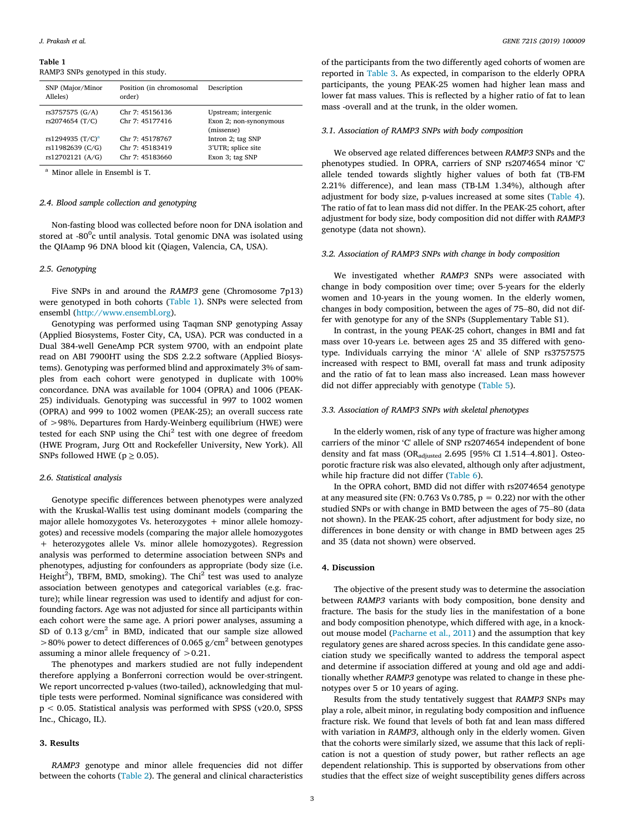#### Table 1

RAMP3 SNPs genotyped in this study.

| SNP (Major/Minor<br>Alleles)                                         | Position (in chromosomal<br>order)                    | Description                                                  |
|----------------------------------------------------------------------|-------------------------------------------------------|--------------------------------------------------------------|
| rs3757575 (G/A)<br>rs2074654 (T/C)                                   | Chr 7: 45156136<br>Chr 7: 45177416                    | Upstream; intergenic<br>Exon 2; non-synonymous<br>(missense) |
| rs1294935 (T/C) <sup>a</sup><br>rs11982639 (C/G)<br>rs12702121 (A/G) | Chr 7: 45178767<br>Chr 7: 45183419<br>Chr 7: 45183660 | Intron 2; tag SNP<br>3'UTR; splice site<br>Exon 3; tag SNP   |

<sup>a</sup> Minor allele in Ensembl is T.

## 2.4. Blood sample collection and genotyping

Non‐fasting blood was collected before noon for DNA isolation and stored at -80<sup>0</sup>c until analysis. Total genomic DNA was isolated using the QIAamp 96 DNA blood kit (Qiagen, Valencia, CA, USA).

## 2.5. Genotyping

Five SNPs in and around the RAMP3 gene (Chromosome 7p13) were genotyped in both cohorts (Table 1). SNPs were selected from ensembl (http://www.ensembl.org).

Genotyping was performed using Taqman SNP genotyping Assay (Applied Biosystems, Foster City, CA, USA). PCR was conducted in a Dual 384‐well GeneAmp PCR system 9700, with an endpoint plate read on ABI 7900HT using the SDS 2.2.2 software (Applied Biosystems). Genotyping was performed blind and approximately 3% of samples from each cohort were genotyped in duplicate with 100% concordance. DNA was available for 1004 (OPRA) and 1006 (PEAK‐ 25) individuals. Genotyping was successful in 997 to 1002 women (OPRA) and 999 to 1002 women (PEAK‐25); an overall success rate of >98%. Departures from Hardy‐Weinberg equilibrium (HWE) were tested for each SNP using the  $Chi<sup>2</sup>$  test with one degree of freedom (HWE Program, Jurg Ott and Rockefeller University, New York). All SNPs followed HWE ( $p \ge 0.05$ ).

#### 2.6. Statistical analysis

Genotype specific differences between phenotypes were analyzed with the Kruskal-Wallis test using dominant models (comparing the major allele homozygotes Vs. heterozygotes + minor allele homozygotes) and recessive models (comparing the major allele homozygotes + heterozygotes allele Vs. minor allele homozygotes). Regression analysis was performed to determine association between SNPs and phenotypes, adjusting for confounders as appropriate (body size (i.e. Height<sup>2</sup>), TBFM, BMD, smoking). The Chi<sup>2</sup> test was used to analyze association between genotypes and categorical variables (e.g. fracture); while linear regression was used to identify and adjust for confounding factors. Age was not adjusted for since all participants within each cohort were the same age. A priori power analyses, assuming a SD of  $0.13$  g/cm<sup>2</sup> in BMD, indicated that our sample size allowed  $>$ 80% power to detect differences of 0.065 g/cm<sup>2</sup> between genotypes assuming a minor allele frequency of >0.21.

The phenotypes and markers studied are not fully independent therefore applying a Bonferroni correction would be over-stringent. We report uncorrected p-values (two-tailed), acknowledging that multiple tests were performed. Nominal significance was considered with p < 0.05. Statistical analysis was performed with SPSS (v20.0, SPSS Inc., Chicago, IL).

## 3. Results

RAMP3 genotype and minor allele frequencies did not differ between the cohorts (Table 2). The general and clinical characteristics of the participants from the two differently aged cohorts of women are reported in Table 3. As expected, in comparison to the elderly OPRA participants, the young PEAK‐25 women had higher lean mass and lower fat mass values. This is reflected by a higher ratio of fat to lean mass ‐overall and at the trunk, in the older women.

#### 3.1. Association of RAMP3 SNPs with body composition

We observed age related differences between RAMP3 SNPs and the phenotypes studied. In OPRA, carriers of SNP rs2074654 minor 'C' allele tended towards slightly higher values of both fat (TB‐FM 2.21% difference), and lean mass (TB‐LM 1.34%), although after adjustment for body size, p‐values increased at some sites (Table 4). The ratio of fat to lean mass did not differ. In the PEAK‐25 cohort, after adjustment for body size, body composition did not differ with RAMP3 genotype (data not shown).

#### 3.2. Association of RAMP3 SNPs with change in body composition

We investigated whether RAMP3 SNPs were associated with change in body composition over time; over 5‐years for the elderly women and 10‐years in the young women. In the elderly women, changes in body composition, between the ages of 75–80, did not differ with genotype for any of the SNPs (Supplementary Table S1).

In contrast, in the young PEAK‐25 cohort, changes in BMI and fat mass over 10‐years i.e. between ages 25 and 35 differed with genotype. Individuals carrying the minor 'A' allele of SNP rs3757575 increased with respect to BMI, overall fat mass and trunk adiposity and the ratio of fat to lean mass also increased. Lean mass however did not differ appreciably with genotype (Table 5).

#### 3.3. Association of RAMP3 SNPs with skeletal phenotypes

In the elderly women, risk of any type of fracture was higher among carriers of the minor 'C' allele of SNP rs2074654 independent of bone density and fat mass (OR<sub>adjusted</sub> 2.695 [95% CI 1.514-4.801]. Osteoporotic fracture risk was also elevated, although only after adjustment, while hip fracture did not differ (Table 6).

In the OPRA cohort, BMD did not differ with rs2074654 genotype at any measured site (FN:  $0.763$  Vs  $0.785$ ,  $p = 0.22$ ) nor with the other studied SNPs or with change in BMD between the ages of 75–80 (data not shown). In the PEAK‐25 cohort, after adjustment for body size, no differences in bone density or with change in BMD between ages 25 and 35 (data not shown) were observed.

## 4. Discussion

The objective of the present study was to determine the association between RAMP3 variants with body composition, bone density and fracture. The basis for the study lies in the manifestation of a bone and body composition phenotype, which differed with age, in a knockout mouse model (Pacharne et al., 2011) and the assumption that key regulatory genes are shared across species. In this candidate gene association study we specifically wanted to address the temporal aspect and determine if association differed at young and old age and additionally whether RAMP3 genotype was related to change in these phenotypes over 5 or 10 years of aging.

Results from the study tentatively suggest that RAMP3 SNPs may play a role, albeit minor, in regulating body composition and influence fracture risk. We found that levels of both fat and lean mass differed with variation in RAMP3, although only in the elderly women. Given that the cohorts were similarly sized, we assume that this lack of replication is not a question of study power, but rather reflects an age dependent relationship. This is supported by observations from other studies that the effect size of weight susceptibility genes differs across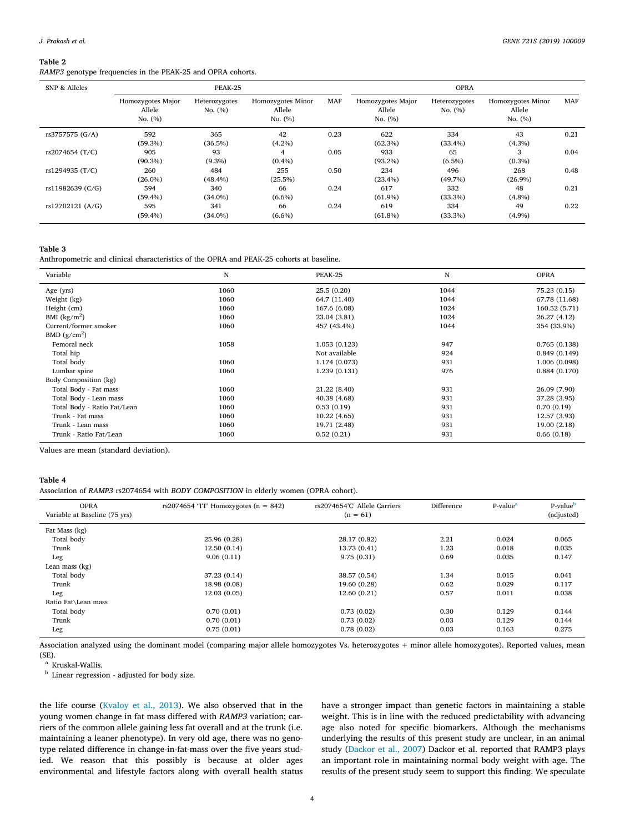#### Table 2

RAMP3 genotype frequencies in the PEAK-25 and OPRA cohorts.

| SNP & Alleles    | PEAK-25                                |                          |                                          | <b>OPRA</b> |                                          |                          |                                        |      |
|------------------|----------------------------------------|--------------------------|------------------------------------------|-------------|------------------------------------------|--------------------------|----------------------------------------|------|
|                  | Homozygotes Major<br>Allele<br>No. (%) | Heterozygotes<br>No. (%) | Homozygotes Minor<br>Allele<br>No. $(%)$ | <b>MAF</b>  | Homozygotes Major<br>Allele<br>No. $(%)$ | Heterozygotes<br>No. (%) | Homozygotes Minor<br>Allele<br>No. (%) | MAF  |
| rs3757575 (G/A)  | 592<br>$(59.3\%)$                      | 365<br>$(36.5\%)$        | 42<br>$(4.2\%)$                          | 0.23        | 622<br>$(62.3\%)$                        | 334<br>$(33.4\%)$        | 43<br>$(4.3\%)$                        | 0.21 |
| rs2074654 (T/C)  | 905<br>$(90.3\%)$                      | 93<br>$(9.3\%)$          | 4<br>$(0.4\%)$                           | 0.05        | 933<br>$(93.2\%)$                        | 65<br>$(6.5\%)$          | 3<br>$(0.3\%)$                         | 0.04 |
| rs1294935 (T/C)  | 260<br>$(26.0\%)$                      | 484<br>$(48.4\%)$        | 255<br>(25.5%)                           | 0.50        | 234<br>$(23.4\%)$                        | 496<br>$(49.7\%)$        | 268<br>$(26.9\%)$                      | 0.48 |
| rs11982639 (C/G) | 594<br>$(59.4\%)$                      | 340<br>$(34.0\%)$        | 66<br>$(6.6\%)$                          | 0.24        | 617<br>$(61.9\%)$                        | 332<br>$(33.3\%)$        | 48<br>$(4.8\%)$                        | 0.21 |
| rs12702121 (A/G) | 595<br>$(59.4\%)$                      | 341<br>$(34.0\%)$        | 66<br>$(6.6\%)$                          | 0.24        | 619<br>$(61.8\%)$                        | 334<br>$(33.3\%)$        | 49<br>$(4.9\%)$                        | 0.22 |

#### Table 3

Anthropometric and clinical characteristics of the OPRA and PEAK-25 cohorts at baseline.

| Variable                    | N    | PEAK-25       | N    | <b>OPRA</b>   |
|-----------------------------|------|---------------|------|---------------|
| Age (yrs)                   | 1060 | 25.5(0.20)    | 1044 | 75.23 (0.15)  |
| Weight (kg)                 | 1060 | 64.7 (11.40)  | 1044 | 67.78 (11.68) |
| Height (cm)                 | 1060 | 167.6 (6.08)  | 1024 | 160.52 (5.71) |
| BMI $(kg/m2)$               | 1060 | 23.04 (3.81)  | 1024 | 26.27 (4.12)  |
| Current/former smoker       | 1060 | 457 (43.4%)   | 1044 | 354 (33.9%)   |
| BMD $(g/cm2)$               |      |               |      |               |
| Femoral neck                | 1058 | 1.053 (0.123) | 947  | 0.765(0.138)  |
| Total hip                   |      | Not available | 924  | 0.849(0.149)  |
| Total body                  | 1060 | 1.174 (0.073) | 931  | 1.006 (0.098) |
| Lumbar spine                | 1060 | 1.239 (0.131) | 976  | 0.884(0.170)  |
| Body Composition (kg)       |      |               |      |               |
| Total Body - Fat mass       | 1060 | 21.22 (8.40)  | 931  | 26.09 (7.90)  |
| Total Body - Lean mass      | 1060 | 40.38 (4.68)  | 931  | 37.28 (3.95)  |
| Total Body - Ratio Fat/Lean | 1060 | 0.53(0.19)    | 931  | 0.70(0.19)    |
| Trunk - Fat mass            | 1060 | 10.22(4.65)   | 931  | 12.57 (3.93)  |
| Trunk - Lean mass           | 1060 | 19.71 (2.48)  | 931  | 19.00 (2.18)  |
| Trunk - Ratio Fat/Lean      | 1060 | 0.52(0.21)    | 931  | 0.66(0.18)    |

Values are mean (standard deviation).

### Table 4

Association of RAMP3 rs2074654 with BODY COMPOSITION in elderly women (OPRA cohort).

| <b>OPRA</b><br>Variable at Baseline (75 yrs) | rs2074654 'TT' Homozygotes $(n = 842)$ | rs2074654'C' Allele Carriers<br>$(n = 61)$ | Difference | P-value <sup>a</sup> | P-value <sup>b</sup><br>(adjusted) |
|----------------------------------------------|----------------------------------------|--------------------------------------------|------------|----------------------|------------------------------------|
| Fat Mass (kg)                                |                                        |                                            |            |                      |                                    |
| Total body                                   | 25.96 (0.28)                           | 28.17 (0.82)                               | 2.21       | 0.024                | 0.065                              |
| Trunk                                        | 12.50(0.14)                            | 13.73 (0.41)                               | 1.23       | 0.018                | 0.035                              |
| Leg                                          | 9.06(0.11)                             | 9.75(0.31)                                 | 0.69       | 0.035                | 0.147                              |
| Lean mass $(kg)$                             |                                        |                                            |            |                      |                                    |
| Total body                                   | 37.23 (0.14)                           | 38.57 (0.54)                               | 1.34       | 0.015                | 0.041                              |
| Trunk                                        | 18.98 (0.08)                           | 19.60 (0.28)                               | 0.62       | 0.029                | 0.117                              |
| Leg                                          | 12.03(0.05)                            | 12.60(0.21)                                | 0.57       | 0.011                | 0.038                              |
| Ratio Fat\Lean mass                          |                                        |                                            |            |                      |                                    |
| Total body                                   | 0.70(0.01)                             | 0.73(0.02)                                 | 0.30       | 0.129                | 0.144                              |
| Trunk                                        | 0.70(0.01)                             | 0.73(0.02)                                 | 0.03       | 0.129                | 0.144                              |
| Leg                                          | 0.75(0.01)                             | 0.78(0.02)                                 | 0.03       | 0.163                | 0.275                              |

Association analyzed using the dominant model (comparing major allele homozygotes Vs. heterozygotes + minor allele homozygotes). Reported values, mean (SE).

<sup>a</sup> Kruskal-Wallis.

<sup>b</sup> Linear regression - adjusted for body size.

the life course (Kvaloy et al., 2013). We also observed that in the young women change in fat mass differed with RAMP3 variation; carriers of the common allele gaining less fat overall and at the trunk (i.e. maintaining a leaner phenotype). In very old age, there was no genotype related difference in change‐in‐fat‐mass over the five years studied. We reason that this possibly is because at older ages environmental and lifestyle factors along with overall health status

have a stronger impact than genetic factors in maintaining a stable weight. This is in line with the reduced predictability with advancing age also noted for specific biomarkers. Although the mechanisms underlying the results of this present study are unclear, in an animal study (Dackor et al., 2007) Dackor et al. reported that RAMP3 plays an important role in maintaining normal body weight with age. The results of the present study seem to support this finding. We speculate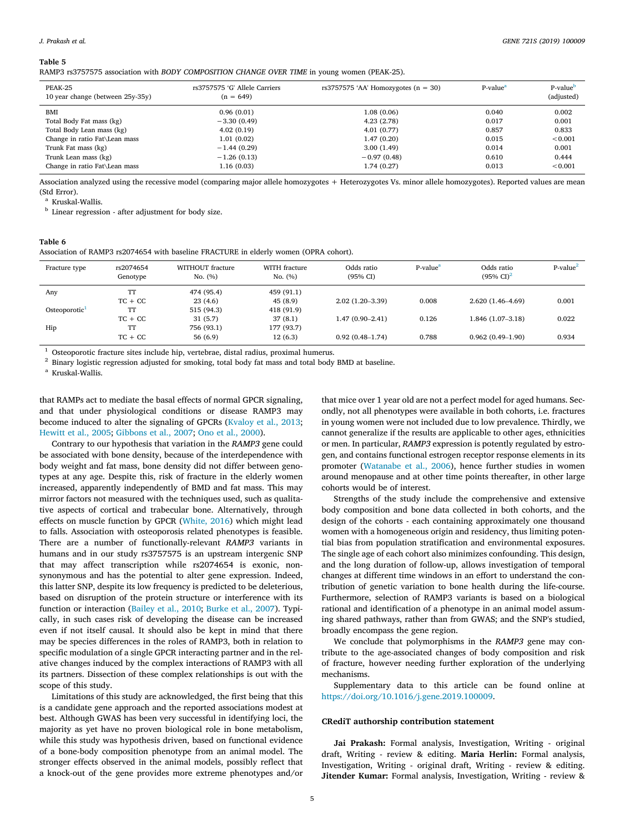#### Table 5

RAMP3 rs3757575 association with BODY COMPOSITION CHANGE OVER TIME in young women (PEAK-25).

| PEAK-25<br>10 year change (between 25y-35y) | rs3757575 'G' Allele Carriers<br>$(n = 649)$ | rs3757575 'AA' Homozygotes $(n = 30)$ | P-value <sup>a</sup> | P-value <sup>b</sup><br>(adjusted) |
|---------------------------------------------|----------------------------------------------|---------------------------------------|----------------------|------------------------------------|
| BMI                                         | 0.96(0.01)                                   | 1.08(0.06)                            | 0.040                | 0.002                              |
| Total Body Fat mass (kg)                    | $-3.30(0.49)$                                | 4.23(2.78)                            | 0.017                | 0.001                              |
| Total Body Lean mass (kg)                   | 4.02(0.19)                                   | 4.01(0.77)                            | 0.857                | 0.833                              |
| Change in ratio Fat\Lean mass               | 1.01(0.02)                                   | 1.47(0.20)                            | 0.015                | < 0.001                            |
| Trunk Fat mass (kg)                         | $-1.44(0.29)$                                | 3.00(1.49)                            | 0.014                | 0.001                              |
| Trunk Lean mass (kg)                        | $-1.26(0.13)$                                | $-0.97(0.48)$                         | 0.610                | 0.444                              |
| Change in ratio Fat\Lean mass               | 1.16(0.03)                                   | 1.74 (0.27)                           | 0.013                | < 0.001                            |

Association analyzed using the recessive model (comparing major allele homozygotes + Heterozygotes Vs. minor allele homozygotes). Reported values are mean (Std Error).

<sup>a</sup> Kruskal-Wallis.

<sup>b</sup> Linear regression - after adjustment for body size.

#### Table 6

Association of RAMP3 rs2074654 with baseline FRACTURE in elderly women (OPRA cohort).

| Fracture type | rs2074654<br>Genotype | WITHOUT fracture<br>No. (%) | WITH fracture<br>No. (%) | Odds ratio<br>$(95% \text{ CI})$ | P-value <sup>a</sup> | Odds ratio<br>$(95\% \text{ Cl})^2$ | $P-value2$ |
|---------------|-----------------------|-----------------------------|--------------------------|----------------------------------|----------------------|-------------------------------------|------------|
| Any           | TT                    | 474 (95.4)                  | 459 (91.1)               |                                  |                      |                                     |            |
|               | $TC + CC$             | 23(4.6)                     | 45(8.9)                  | $2.02(1.20-3.39)$                | 0.008                | $2.620(1.46-4.69)$                  | 0.001      |
| Osteoporotic  | TT                    | 515 (94.3)                  | 418 (91.9)               |                                  |                      |                                     |            |
|               | $TC + CC$             | 31(5.7)                     | 37(8.1)                  | $1.47(0.90 - 2.41)$              | 0.126                | $1.846(1.07-3.18)$                  | 0.022      |
| Hip           | TT                    | 756 (93.1)                  | 177 (93.7)               |                                  |                      |                                     |            |
|               | $TC + CC$             | 56 (6.9)                    | 12(6.3)                  | $0.92(0.48 - 1.74)$              | 0.788                | $0.962(0.49-1.90)$                  | 0.934      |

 $^1$  Osteoporotic fracture sites include hip, vertebrae, distal radius, proximal humerus.

<sup>2</sup> Binary logistic regression adjusted for smoking, total body fat mass and total body BMD at baseline.

a Kruskal-Wallis.

that RAMPs act to mediate the basal effects of normal GPCR signaling, and that under physiological conditions or disease RAMP3 may become induced to alter the signaling of GPCRs (Kvaloy et al., 2013; Hewitt et al., 2005; Gibbons et al., 2007; Ono et al., 2000).

Contrary to our hypothesis that variation in the RAMP3 gene could be associated with bone density, because of the interdependence with body weight and fat mass, bone density did not differ between genotypes at any age. Despite this, risk of fracture in the elderly women increased, apparently independently of BMD and fat mass. This may mirror factors not measured with the techniques used, such as qualitative aspects of cortical and trabecular bone. Alternatively, through effects on muscle function by GPCR (White, 2016) which might lead to falls. Association with osteoporosis related phenotypes is feasible. There are a number of functionally-relevant RAMP3 variants in humans and in our study rs3757575 is an upstream intergenic SNP that may affect transcription while rs2074654 is exonic, nonsynonymous and has the potential to alter gene expression. Indeed, this latter SNP, despite its low frequency is predicted to be deleterious, based on disruption of the protein structure or interference with its function or interaction (Bailey et al., 2010; Burke et al., 2007). Typically, in such cases risk of developing the disease can be increased even if not itself causal. It should also be kept in mind that there may be species differences in the roles of RAMP3, both in relation to specific modulation of a single GPCR interacting partner and in the relative changes induced by the complex interactions of RAMP3 with all its partners. Dissection of these complex relationships is out with the scope of this study.

Limitations of this study are acknowledged, the first being that this is a candidate gene approach and the reported associations modest at best. Although GWAS has been very successful in identifying loci, the majority as yet have no proven biological role in bone metabolism, while this study was hypothesis driven, based on functional evidence of a bone‐body composition phenotype from an animal model. The stronger effects observed in the animal models, possibly reflect that a knock‐out of the gene provides more extreme phenotypes and/or

that mice over 1 year old are not a perfect model for aged humans. Secondly, not all phenotypes were available in both cohorts, i.e. fractures in young women were not included due to low prevalence. Thirdly, we cannot generalize if the results are applicable to other ages, ethnicities or men. In particular, RAMP3 expression is potently regulated by estrogen, and contains functional estrogen receptor response elements in its promoter (Watanabe et al., 2006), hence further studies in women around menopause and at other time points thereafter, in other large cohorts would be of interest.

Strengths of the study include the comprehensive and extensive body composition and bone data collected in both cohorts, and the design of the cohorts ‐ each containing approximately one thousand women with a homogeneous origin and residency, thus limiting potential bias from population stratification and environmental exposures. The single age of each cohort also minimizes confounding. This design, and the long duration of follow‐up, allows investigation of temporal changes at different time windows in an effort to understand the contribution of genetic variation to bone health during the life‐course. Furthermore, selection of RAMP3 variants is based on a biological rational and identification of a phenotype in an animal model assuming shared pathways, rather than from GWAS; and the SNP's studied, broadly encompass the gene region.

We conclude that polymorphisms in the RAMP3 gene may contribute to the age‐associated changes of body composition and risk of fracture, however needing further exploration of the underlying mechanisms.

Supplementary data to this article can be found online at https://doi.org/10.1016/j.gene.2019.100009.

#### CRediT authorship contribution statement

Jai Prakash: Formal analysis, Investigation, Writing ‐ original draft, Writing ‐ review & editing. Maria Herlin: Formal analysis, Investigation, Writing ‐ original draft, Writing ‐ review & editing. Jitender Kumar: Formal analysis, Investigation, Writing ‐ review &